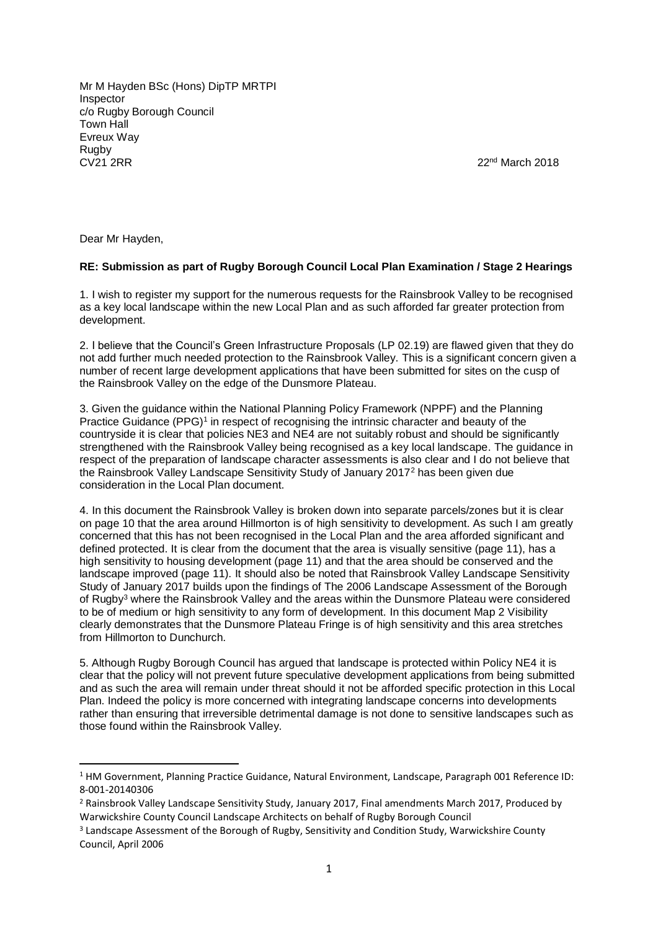Mr M Hayden BSc (Hons) DipTP MRTPI Inspector c/o Rugby Borough Council Town Hall Evreux Way Rugby CV21 2RR 2018

Dear Mr Hayden,

1

## **RE: Submission as part of Rugby Borough Council Local Plan Examination / Stage 2 Hearings**

1. I wish to register my support for the numerous requests for the Rainsbrook Valley to be recognised as a key local landscape within the new Local Plan and as such afforded far greater protection from development.

2. I believe that the Council's Green Infrastructure Proposals (LP 02.19) are flawed given that they do not add further much needed protection to the Rainsbrook Valley. This is a significant concern given a number of recent large development applications that have been submitted for sites on the cusp of the Rainsbrook Valley on the edge of the Dunsmore Plateau.

3. Given the guidance within the National Planning Policy Framework (NPPF) and the Planning Practice Guidance (PPG)<sup>1</sup> in respect of recognising the intrinsic character and beauty of the countryside it is clear that policies NE3 and NE4 are not suitably robust and should be significantly strengthened with the Rainsbrook Valley being recognised as a key local landscape. The guidance in respect of the preparation of landscape character assessments is also clear and I do not believe that the Rainsbrook Valley Landscape Sensitivity Study of January 2017<sup>2</sup> has been given due consideration in the Local Plan document.

4. In this document the Rainsbrook Valley is broken down into separate parcels/zones but it is clear on page 10 that the area around Hillmorton is of high sensitivity to development. As such I am greatly concerned that this has not been recognised in the Local Plan and the area afforded significant and defined protected. It is clear from the document that the area is visually sensitive (page 11), has a high sensitivity to housing development (page 11) and that the area should be conserved and the landscape improved (page 11). It should also be noted that Rainsbrook Valley Landscape Sensitivity Study of January 2017 builds upon the findings of The 2006 Landscape Assessment of the Borough of Rugby<sup>3</sup> where the Rainsbrook Valley and the areas within the Dunsmore Plateau were considered to be of medium or high sensitivity to any form of development. In this document Map 2 Visibility clearly demonstrates that the Dunsmore Plateau Fringe is of high sensitivity and this area stretches from Hillmorton to Dunchurch.

5. Although Rugby Borough Council has argued that landscape is protected within Policy NE4 it is clear that the policy will not prevent future speculative development applications from being submitted and as such the area will remain under threat should it not be afforded specific protection in this Local Plan. Indeed the policy is more concerned with integrating landscape concerns into developments rather than ensuring that irreversible detrimental damage is not done to sensitive landscapes such as those found within the Rainsbrook Valley.

<sup>1</sup> HM Government, Planning Practice Guidance, Natural Environment, Landscape, Paragraph 001 Reference ID: 8-001-20140306

<sup>2</sup> Rainsbrook Valley Landscape Sensitivity Study, January 2017, Final amendments March 2017, Produced by Warwickshire County Council Landscape Architects on behalf of Rugby Borough Council

<sup>3</sup> Landscape Assessment of the Borough of Rugby, Sensitivity and Condition Study, Warwickshire County Council, April 2006